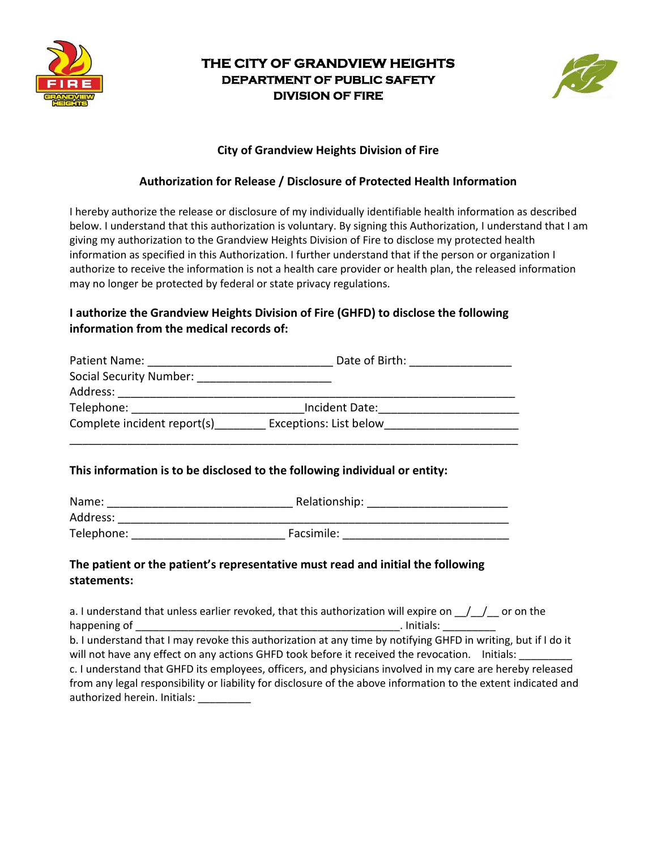

# **THE CITY OF GRANDVIEW HEIGHTS DEPARTMENT OF PUBLIC SAFETY DIVISION OF FIRE**



### **City of Grandview Heights Division of Fire**

### **Authorization for Release / Disclosure of Protected Health Information**

I hereby authorize the release or disclosure of my individually identifiable health information as described below. I understand that this authorization is voluntary. By signing this Authorization, I understand that I am giving my authorization to the Grandview Heights Division of Fire to disclose my protected health information as specified in this Authorization. I further understand that if the person or organization I authorize to receive the information is not a health care provider or health plan, the released information may no longer be protected by federal or state privacy regulations.

## **I authorize the Grandview Heights Division of Fire (GHFD) to disclose the following information from the medical records of:**

| Patient Name:               | Date of Birth:         |
|-----------------------------|------------------------|
| Social Security Number:     |                        |
| Address:                    |                        |
| Telephone:                  | Incident Date:         |
| Complete incident report(s) | Exceptions: List below |
|                             |                        |

### **This information is to be disclosed to the following individual or entity:**

| Name:      | Relationship: |  |
|------------|---------------|--|
| Address:   |               |  |
| Telephone: | Facsimile:    |  |

### **The patient or the patient's representative must read and initial the following statements:**

a. I understand that unless earlier revoked, that this authorization will expire on  $\frac{1}{\sqrt{2}}$  or on the happening of the contract of the contract of the contract of the contract of the contract of the contract of th b. I understand that I may revoke this authorization at any time by notifying GHFD in writing, but if I do it will not have any effect on any actions GHFD took before it received the revocation. Initials: \_\_\_\_ c. I understand that GHFD its employees, officers, and physicians involved in my care are hereby released from any legal responsibility or liability for disclosure of the above information to the extent indicated and authorized herein. Initials: